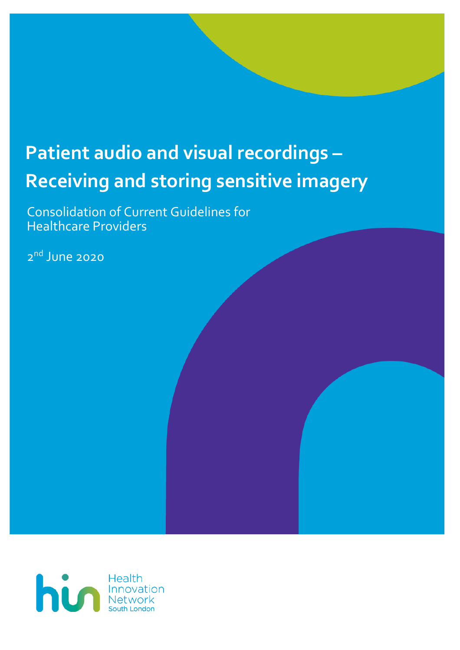# **Patient audio and visual recordings – Receiving and storing sensitive imagery**

Consolidation of Current Guidelines for Healthcare Providers

2 nd June 2020

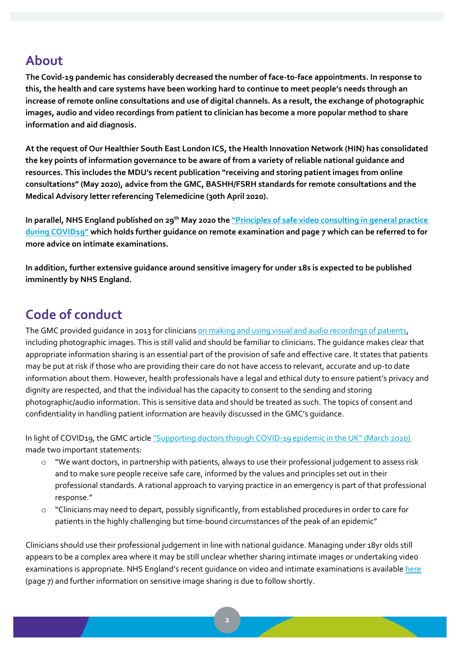#### **About**

**The Covid-19 pandemic has considerably decreased the number of face-to-face appointments. In response to this, the health and care systems have been working hard to continue to meet people's needs through an increase of remote online consultations and use of digital channels. As a result, the exchange of photographic images, audio and video recordings from patient to clinician has become a more popular method to share information and aid diagnosis.** 

**At the request of Our Healthier South East London ICS, the Health Innovation Network (HIN) has consolidated the key points of information governance to be aware of from a variety of reliable national guidance and resources. This includes the MDU's recent publication "receiving and storing patient images from online consultations" (May 2020), advice from the GMC, BASHH/FSRH standards for remote consultations and the Medical Advisory letter referencing Telemedicine (30th April 2020).** 

**In parallel, NHS England published on 29th May 2020 the ["Principles of safe video consulting in general practice](https://www.england.nhs.uk/coronavirus/wp-content/uploads/sites/52/2020/03/C0479-principles-of-safe-video-consulting-in-general-practice-updated-29-may.pdf)  [during COVID19"](https://www.england.nhs.uk/coronavirus/wp-content/uploads/sites/52/2020/03/C0479-principles-of-safe-video-consulting-in-general-practice-updated-29-may.pdf) which holds further guidance on remote examination and page 7 which can be referred to for more advice on intimate examinations.**

**In addition, further extensive guidance around sensitive imagery for under 18s is expected to be published imminently by NHS England.**

## **Code of conduct**

The GMC provided quidance in 2013 for clinician[s on making and using visual and audio recordings of patients,](https://www.gmc-uk.org/-/media/documents/making-and-using-visual-and-audio-recordings-of-patients_pdf-58838365.pdf?la=en&hash=682AF2947E542A4B1882563CA71181D011DB06FE) including photographic images. This is still valid and should be familiar to clinicians. The guidance makes clear that appropriate information sharing is an essential part of the provision of safe and effective care. It states that patients may be put at risk if those who are providing their care do not have access to relevant, accurate and up-to date information about them. However, health professionals have a legal and ethical duty to ensure patient's privacy and dignity are respected, and that the individual has the capacity to consent to the sending and storing photographic/audio information. This is sensitive data and should be treated as such. The topics of consent and confidentiality in handling patient information are heavily discussed in the GMC's guidance.

In light of COVID19, the GMC article "S[upporting doctors through COVID-](https://www.gmc-uk.org/news/news-archive/supporting-doctors-in-the-event-of-a-covid19-epidemic-in-the-uk)19 epidemic in the UK" (March 2020) made two important statements:

- o "We want doctors, in partnership with patients, always to use their professional judgement to assess risk and to make sure people receive safe care, informed by the values and principles set out in their professional standards. A rational approach to varying practice in an emergency is part of that professional response."
- o "Clinicians may need to depart, possibly significantly, from established procedures in order to care for patients in the highly challenging but time-bound circumstances of the peak of an epidemic"

Clinicians should use their professional judgement in line with national guidance. Managing under 18yr olds still appears to be a complex area where it may be still unclear whether sharing intimate images or undertaking video examinations is appropriate. NHS England's recent quidance on video and intimate examinations is availabl[e here](https://www.england.nhs.uk/coronavirus/wp-content/uploads/sites/52/2020/03/C0479-principles-of-safe-video-consulting-in-general-practice-updated-29-may.pdf) (page 7) and further information on sensitive image sharing is due to follow shortly.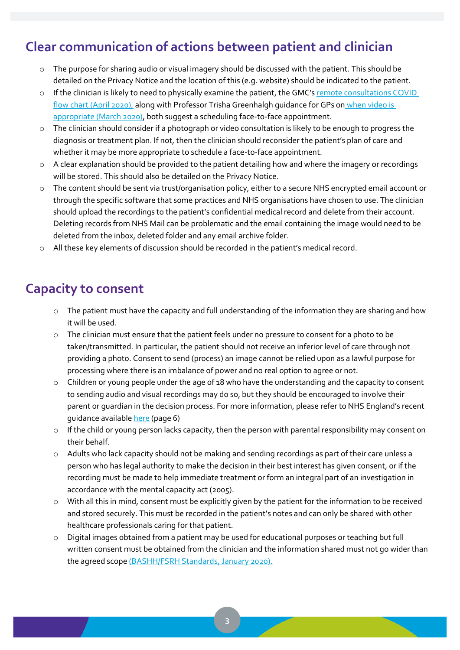## **Clear communication of actions between patient and clinician**

- o The purpose for sharing audio or visual imagery should be discussed with the patient. This should be detailed on the Privacy Notice and the location of this (e.g. website) should be indicated to the patient.
- o If the clinician is likely to need to physically examine the patient, the GMC's remote consultations COVID [flow chart \(April 2020\),](https://www.gmc-uk.org/ethical-guidance/ethical-hub/remote-consultations) along wit[h Professor Trisha Greenhalgh guidance for GPs on](https://bjgp.org/sites/default/files/advanced-pages/20Mar_COVID_VideoConsultations.pdf) when video is [appropriate \(March 2020\),](https://bjgp.org/sites/default/files/advanced-pages/20Mar_COVID_VideoConsultations.pdf) both suggest a scheduling face-to-face appointment.
- o The clinician should consider if a photograph or video consultation is likely to be enough to progress the diagnosis or treatment plan. If not, then the clinician should reconsider the patient's plan of care and whether it may be more appropriate to schedule a face-to-face appointment.
- o A clear explanation should be provided to the patient detailing how and where the imagery or recordings will be stored. This should also be detailed on the Privacy Notice.
- o The content should be sent via trust/organisation policy, either to a secure NHS encrypted email account or through the specific software that some practices and NHS organisations have chosen to use. The clinician should upload the recordings to the patient's confidential medical record and delete from their account. Deleting records from NHS Mail can be problematic and the email containing the image would need to be deleted from the inbox, deleted folder and any email archive folder.
- o All these key elements of discussion should be recorded in the patient's medical record.

#### **Capacity to consent**

- o The patient must have the capacity and full understanding of the information they are sharing and how it will be used.
- o The clinician must ensure that the patient feels under no pressure to consent for a photo to be taken/transmitted. In particular, the patient should not receive an inferior level of care through not providing a photo. Consent to send (process) an image cannot be relied upon as a lawful purpose for processing where there is an imbalance of power and no real option to agree or not.
- o Children or young people under the age of 18 who have the understanding and the capacity to consent to sending audio and visual recordings may do so, but they should be encouraged to involve their parent or guardian in the decision process. For more information, please refer to NHS England's recent guidance available [here](https://www.england.nhs.uk/coronavirus/wp-content/uploads/sites/52/2020/03/C0479-principles-of-safe-video-consulting-in-general-practice-updated-29-may.pdf) (page 6)
- o If the child or young person lacks capacity, then the person with parental responsibility may consent on their behalf.
- o Adults who lack capacity should not be making and sending recordings as part of their care unless a person who has legal authority to make the decision in their best interest has given consent, or if the recording must be made to help immediate treatment or form an integral part of an investigation in accordance with the mental capacity act (2005).
- o With all this in mind, consent must be explicitly given by the patient for the information to be received and stored securely. This must be recorded in the patient's notes and can only be shared with other healthcare professionals caring for that patient.
- o Digital images obtained from a patient may be used for educational purposes or teaching but full written consent must be obtained from the clinician and the information shared must not go wider than the agreed scope [\(BASHH/FSRH Standards, January 2020\).](file:///C:/Users/K1928437/Downloads/standards-for-online-and-remote-providers-2020%20(3).pdf)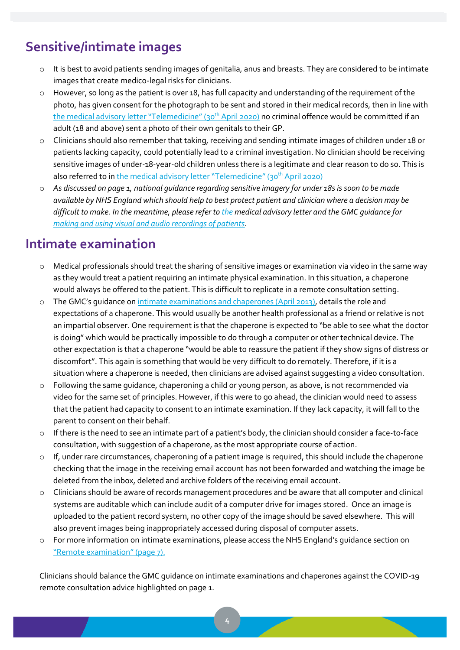# **Sensitive/intimate images**

- $\circ$  It is best to avoid patients sending images of genitalia, anus and breasts. They are considered to be intimate images that create medico-legal risks for clinicians.
- o However, so long as the patient is over 18, has full capacity and understanding of the requirement of the photo, has given consent for the photograph to be sent and stored in their medical records, then in line with [the medical advisory letter](file:///C:/Users/K1928437/Downloads/Medical_Advisory_letter_template_UK_V1_20200430134452%20(1).pdf) "Telemedicine" (30<sup>th</sup> April 2020) no criminal offence would be committed if an adult (18 and above) sent a photo of their own genitals to their GP.
- o Clinicians should also remember that taking, receiving and sending intimate images of children under 18 or patients lacking capacity, could potentially lead to a criminal investigation. No clinician should be receiving sensitive images of under-18-year-old children unless there is a legitimate and clear reason to do so. This is also referred to in [the medical advisory letter](file:///C:/Users/K1928437/Downloads/Medical_Advisory_letter_template_UK_V1_20200430134452%20(1).pdf) "Telemedicine" (30<sup>th</sup> April 2020)
- o *As discussed on page 1, national guidance regarding sensitive imagery for under 18s is soon to be made available by NHS England which should help to best protect patient and clinician where a decision may be difficult to make. In the meantime, please refer to [the](file:///C:/Users/K1928437/Downloads/Medical_Advisory_letter_template_UK_V1_20200430134452%20(1).pdf) medical advisory letter and the GMC guidance fo[r](https://www.gmc-uk.org/-/media/documents/making-and-using-visual-and-audio-recordings-of-patients_pdf-58838365.pdf?la=en&hash=682AF2947E542A4B1882563CA71181D011DB06FE)  [making and using visual and audio recordings of patients.](https://www.gmc-uk.org/-/media/documents/making-and-using-visual-and-audio-recordings-of-patients_pdf-58838365.pdf?la=en&hash=682AF2947E542A4B1882563CA71181D011DB06FE)*

## **Intimate examination**

- o Medical professionals should treat the sharing of sensitive images or examination via video in the same way as they would treat a patient requiring an intimate physical examination. In this situation, a chaperone would always be offered to the patient. This is difficult to replicate in a remote consultation setting.
- o The GMC's guidance on [intimate examinations and chaperones](https://www.gmc-uk.org/-/media/documents/maintaining-boundaries-intimate-examinations-and-chaperones_pdf-58835231.pdf?la=en&hash=A6DCCA363F989E0304D17FBC4ECB9C1060028385) (April 2013), details the role and expectations of a chaperone. This would usually be another health professional as a friend or relative is not an impartial observer. One requirement is that the chaperone is expected to "be able to see what the doctor is doing" which would be practically impossible to do through a computer or other technical device. The other expectation is that a chaperone "would be able to reassure the patient if they show signs of distress or discomfort". This again is something that would be very difficult to do remotely. Therefore, if it is a situation where a chaperone is needed, then clinicians are advised against suggesting a video consultation.
- o Following the same guidance, chaperoning a child or young person, as above, is not recommended via video for the same set of principles. However, if this were to go ahead, the clinician would need to assess that the patient had capacity to consent to an intimate examination. If they lack capacity, it will fall to the parent to consent on their behalf.
- o If there is the need to see an intimate part of a patient's body, the clinician should consider a face-to-face consultation, with suggestion of a chaperone, as the most appropriate course of action.
- o If, under rare circumstances, chaperoning of a patient image is required, this should include the chaperone checking that the image in the receiving email account has not been forwarded and watching the image be deleted from the inbox, deleted and archive folders of the receiving email account.
- o Clinicians should be aware of records management procedures and be aware that all computer and clinical systems are auditable which can include audit of a computer drive for images stored. Once an image is uploaded to the patient record system, no other copy of the image should be saved elsewhere. This will also prevent images being inappropriately accessed during disposal of computer assets.
- o For more information on intimate examinations, please access the NHS England's guidance section on ["Remote examination" \(page 7\).](https://www.england.nhs.uk/coronavirus/wp-content/uploads/sites/52/2020/03/C0479-principles-of-safe-video-consulting-in-general-practice-updated-29-may.pdf)

Clinicians should balance the GMC guidance on intimate examinations and chaperones against the COVID-19 remote consultation advice highlighted on page 1.

**4**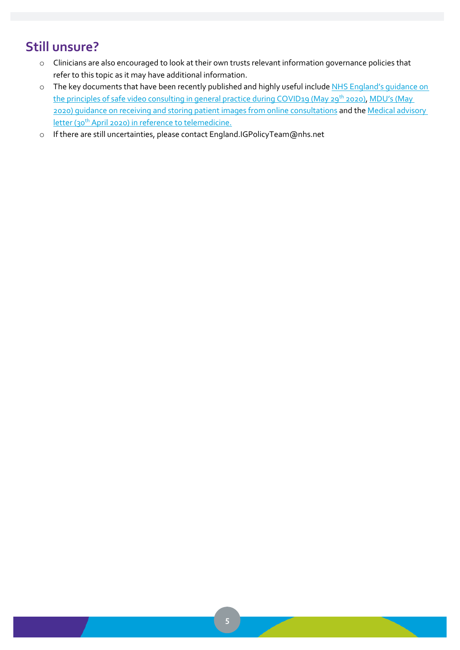# **Still unsure?**

- o Clinicians are also encouraged to look at their own trusts relevant information governance policies that refer to this topic as it may have additional information.
- o The key documents that have been recently published and highly useful include NHS England's guidance on [the principles of safe video consulting in general practice during COVID19 \(May 29](https://www.england.nhs.uk/coronavirus/wp-content/uploads/sites/52/2020/03/C0479-principles-of-safe-video-consulting-in-general-practice-updated-29-may.pdf)<sup>th</sup> 2020), MDU's (May [2020\) guidance on receiving and storing patient images from online consultations](https://www.themdu.com/guidance-and-advice/latest-updates-and-advice/receiving-and-storing-patient-images-from-online-consultations) and the [Medical advisory](file:///C:/Users/K1928437/Downloads/Medical_Advisory_letter_template_UK_V1_20200430134452%20(1).pdf)  letter (30<sup>th</sup> [April 2020\) in reference to telemedicine.](file:///C:/Users/K1928437/Downloads/Medical_Advisory_letter_template_UK_V1_20200430134452%20(1).pdf)
- o If there are still uncertainties, please contact England.IGPolicyTeam@nhs.net